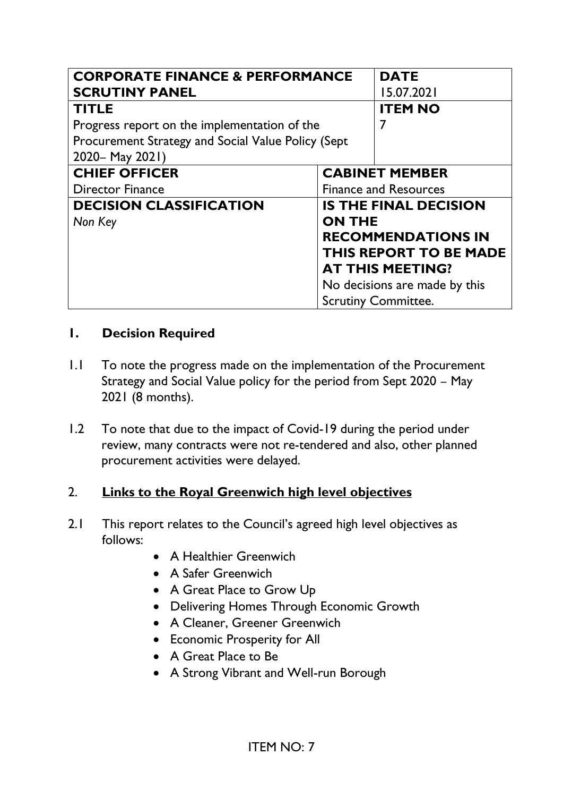| <b>CORPORATE FINANCE &amp; PERFORMANCE</b>         |                              | <b>DATE</b>                   |
|----------------------------------------------------|------------------------------|-------------------------------|
| <b>SCRUTINY PANEL</b>                              |                              | 15.07.2021                    |
| <b>TITLE</b>                                       |                              | <b>ITEM NO</b>                |
| Progress report on the implementation of the       |                              |                               |
| Procurement Strategy and Social Value Policy (Sept |                              |                               |
| 2020 - May 2021)                                   |                              |                               |
| <b>CHIEF OFFICER</b>                               |                              | <b>CABINET MEMBER</b>         |
| <b>Director Finance</b>                            | <b>Finance and Resources</b> |                               |
| <b>DECISION CLASSIFICATION</b>                     |                              | <b>IS THE FINAL DECISION</b>  |
| Non Key                                            | <b>ON THE</b>                |                               |
|                                                    |                              | <b>RECOMMENDATIONS IN</b>     |
|                                                    |                              | THIS REPORT TO BE MADE        |
|                                                    |                              | <b>AT THIS MEETING?</b>       |
|                                                    |                              | No decisions are made by this |
|                                                    |                              | <b>Scrutiny Committee.</b>    |

#### **1. Decision Required**

- 1.1 To note the progress made on the implementation of the Procurement Strategy and Social Value policy for the period from Sept 2020 – May 2021 (8 months).
- 1.2 To note that due to the impact of Covid-19 during the period under review, many contracts were not re-tendered and also, other planned procurement activities were delayed.

## 2. **Links to the Royal Greenwich high level objectives**

- 2.1 This report relates to the Council's agreed high level objectives as follows:
	- A Healthier Greenwich
	- A Safer Greenwich
	- A Great Place to Grow Up
	- Delivering Homes Through Economic Growth
	- A Cleaner, Greener Greenwich
	- Economic Prosperity for All
	- A Great Place to Be
	- A Strong Vibrant and Well-run Borough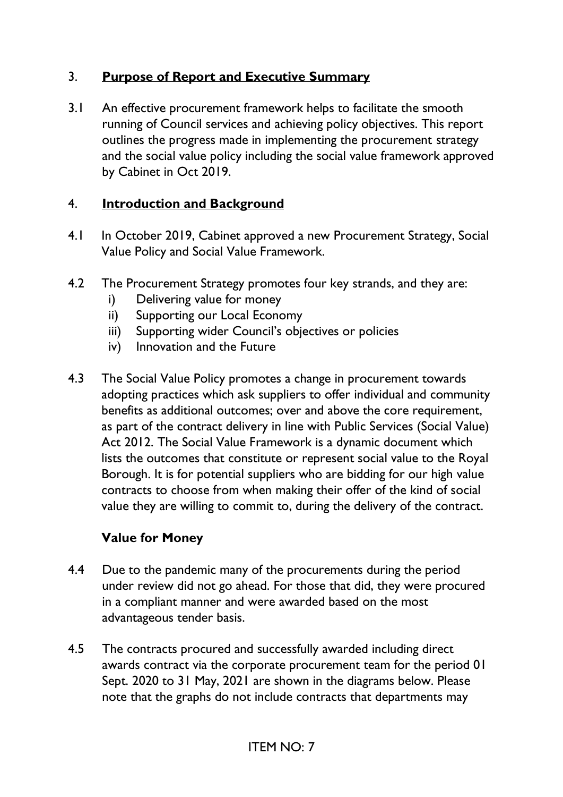## 3. **Purpose of Report and Executive Summary**

3.1 An effective procurement framework helps to facilitate the smooth running of Council services and achieving policy objectives. This report outlines the progress made in implementing the procurement strategy and the social value policy including the social value framework approved by Cabinet in Oct 2019.

### 4. **Introduction and Background**

- 4.1 In October 2019, Cabinet approved a new Procurement Strategy, Social Value Policy and Social Value Framework.
- 4.2 The Procurement Strategy promotes four key strands, and they are:
	- i) Delivering value for money
	- ii) Supporting our Local Economy
	- iii) Supporting wider Council's objectives or policies
	- iv) Innovation and the Future
- 4.3 The Social Value Policy promotes a change in procurement towards adopting practices which ask suppliers to offer individual and community benefits as additional outcomes; over and above the core requirement, as part of the contract delivery in line with Public Services (Social Value) Act 2012. The Social Value Framework is a dynamic document which lists the outcomes that constitute or represent social value to the Royal Borough. It is for potential suppliers who are bidding for our high value contracts to choose from when making their offer of the kind of social value they are willing to commit to, during the delivery of the contract.

#### **Value for Money**

- 4.4 Due to the pandemic many of the procurements during the period under review did not go ahead. For those that did, they were procured in a compliant manner and were awarded based on the most advantageous tender basis.
- 4.5 The contracts procured and successfully awarded including direct awards contract via the corporate procurement team for the period 01 Sept. 2020 to 31 May, 2021 are shown in the diagrams below. Please note that the graphs do not include contracts that departments may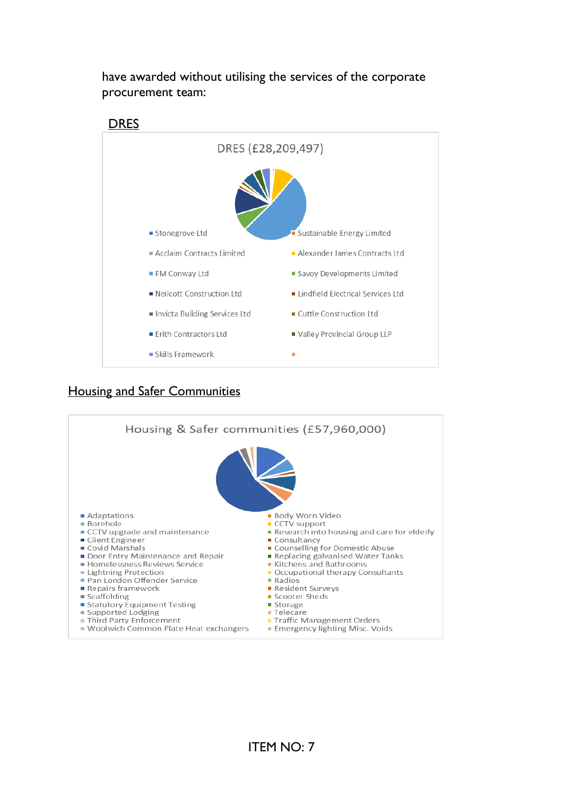

have awarded without utilising the services of the corporate procurement team:

#### Housing and Safer Communities

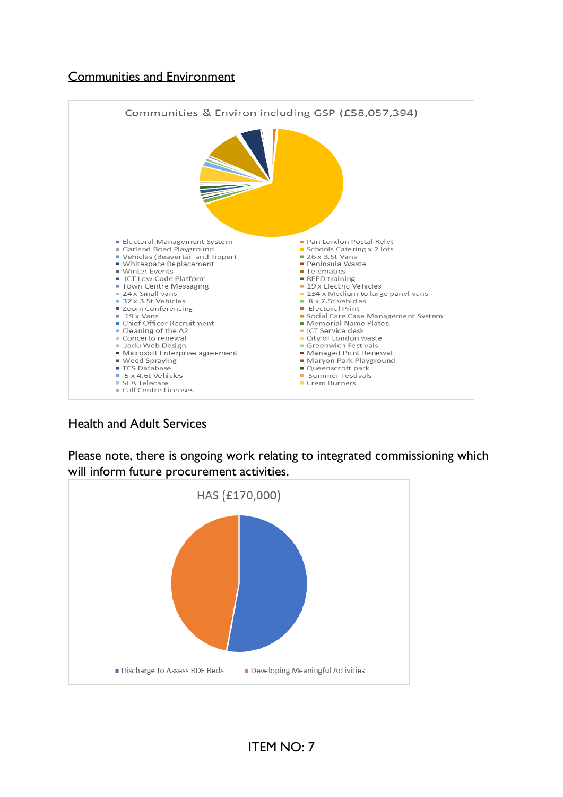### Communities and Environment



Health and Adult Services

Please note, there is ongoing work relating to integrated commissioning which will inform future procurement activities.

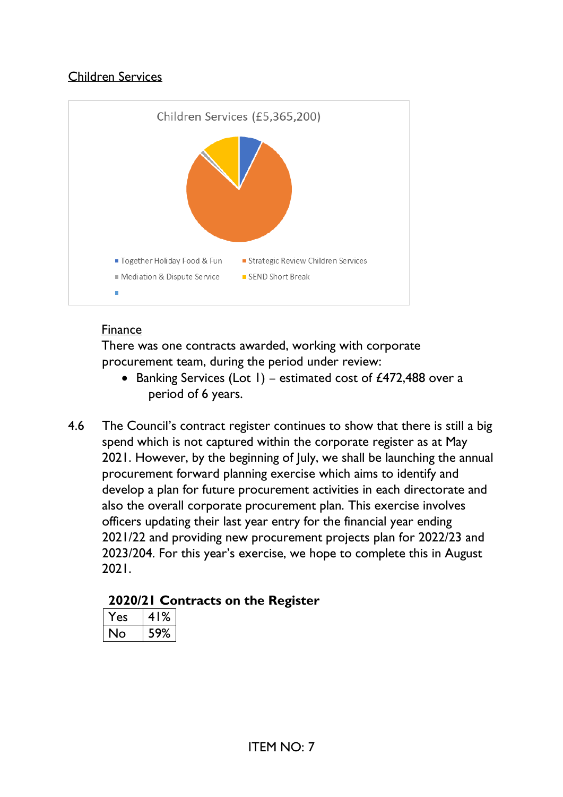## Children Services



#### Finance

There was one contracts awarded, working with corporate procurement team, during the period under review:

- Banking Services (Lot 1) estimated cost of £472,488 over a period of 6 years.
- 4.6 The Council's contract register continues to show that there is still a big spend which is not captured within the corporate register as at May 2021. However, by the beginning of July, we shall be launching the annual procurement forward planning exercise which aims to identify and develop a plan for future procurement activities in each directorate and also the overall corporate procurement plan. This exercise involves officers updating their last year entry for the financial year ending 2021/22 and providing new procurement projects plan for 2022/23 and 2023/204. For this year's exercise, we hope to complete this in August 2021.

## **2020/21 Contracts on the Register**

| 2 <sup>c</sup> | ℅<br>4 |
|----------------|--------|
| י              | 9%     |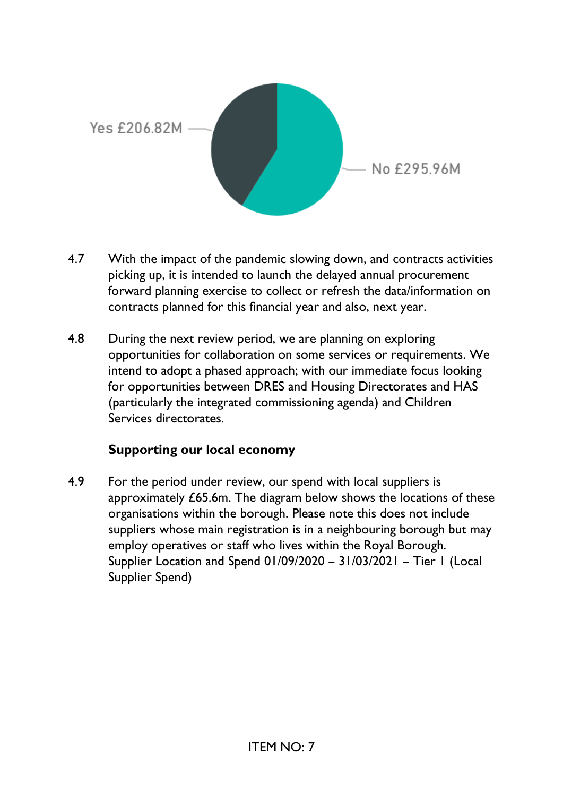

- 4.7 With the impact of the pandemic slowing down, and contracts activities picking up, it is intended to launch the delayed annual procurement forward planning exercise to collect or refresh the data/information on contracts planned for this financial year and also, next year.
- 4.8 During the next review period, we are planning on exploring opportunities for collaboration on some services or requirements. We intend to adopt a phased approach; with our immediate focus looking for opportunities between DRES and Housing Directorates and HAS (particularly the integrated commissioning agenda) and Children Services directorates.

#### **Supporting our local economy**

4.9 For the period under review, our spend with local suppliers is approximately £65.6m. The diagram below shows the locations of these organisations within the borough. Please note this does not include suppliers whose main registration is in a neighbouring borough but may employ operatives or staff who lives within the Royal Borough. Supplier Location and Spend 01/09/2020 – 31/03/2021 – Tier 1 (Local Supplier Spend)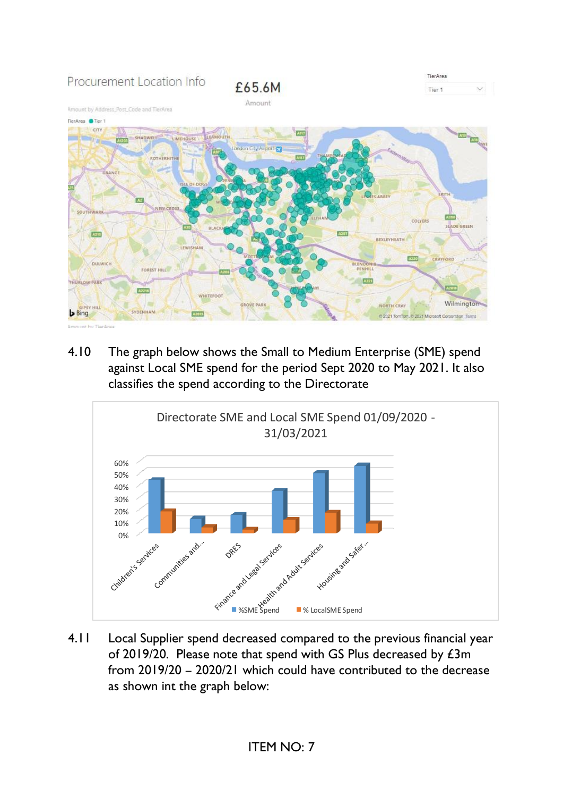

4.10 The graph below shows the Small to Medium Enterprise (SME) spend against Local SME spend for the period Sept 2020 to May 2021. It also classifies the spend according to the Directorate



4.11 Local Supplier spend decreased compared to the previous financial year of 2019/20. Please note that spend with GS Plus decreased by £3m from 2019/20 – 2020/21 which could have contributed to the decrease as shown int the graph below: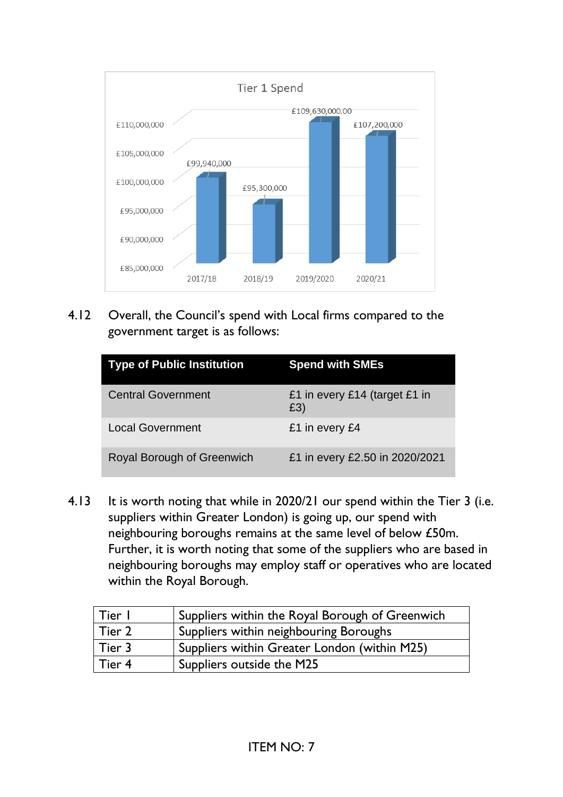

4.12 Overall, the Council's spend with Local firms compared to the government target is as follows:

| <b>Type of Public Institution</b> | <b>Spend with SMEs</b>               |
|-----------------------------------|--------------------------------------|
| <b>Central Government</b>         | £1 in every £14 (target £1 in<br>£3) |
| <b>Local Government</b>           | £1 in every £4                       |
| Royal Borough of Greenwich        | £1 in every £2.50 in 2020/2021       |

4.13 It is worth noting that while in 2020/21 our spend within the Tier 3 (i.e. suppliers within Greater London) is going up, our spend with neighbouring boroughs remains at the same level of below £50m. Further, it is worth noting that some of the suppliers who are based in neighbouring boroughs may employ staff or operatives who are located within the Royal Borough.

| Tier I        | Suppliers within the Royal Borough of Greenwich |
|---------------|-------------------------------------------------|
| $\mid$ Tier 2 | Suppliers within neighbouring Boroughs          |
| $\mid$ Tier 3 | Suppliers within Greater London (within M25)    |
| l Tier 4      | Suppliers outside the M25                       |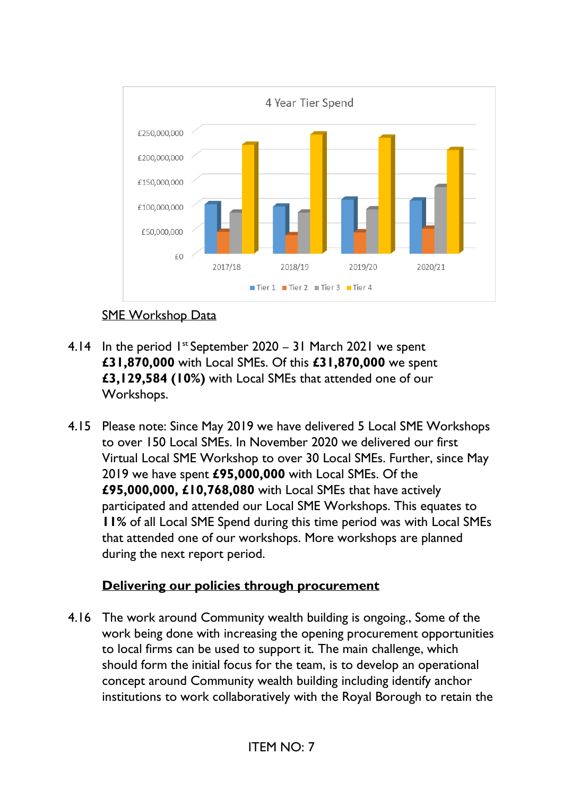

## SME Workshop Data

- 4.14 In the period  $1^{st}$  September 2020 31 March 2021 we spent **£31,870,000** with Local SMEs. Of this **£31,870,000** we spent **£3,129,584 (10%)** with Local SMEs that attended one of our Workshops.
- 4.15 Please note: Since May 2019 we have delivered 5 Local SME Workshops to over 150 Local SMEs. In November 2020 we delivered our first Virtual Local SME Workshop to over 30 Local SMEs. Further, since May 2019 we have spent **£95,000,000** with Local SMEs. Of the **£95,000,000, £10,768,080** with Local SMEs that have actively participated and attended our Local SME Workshops. This equates to **11%** of all Local SME Spend during this time period was with Local SMEs that attended one of our workshops. More workshops are planned during the next report period.

## **Delivering our policies through procurement**

4.16 The work around Community wealth building is ongoing., Some of the work being done with increasing the opening procurement opportunities to local firms can be used to support it. The main challenge, which should form the initial focus for the team, is to develop an operational concept around Community wealth building including identify anchor institutions to work collaboratively with the Royal Borough to retain the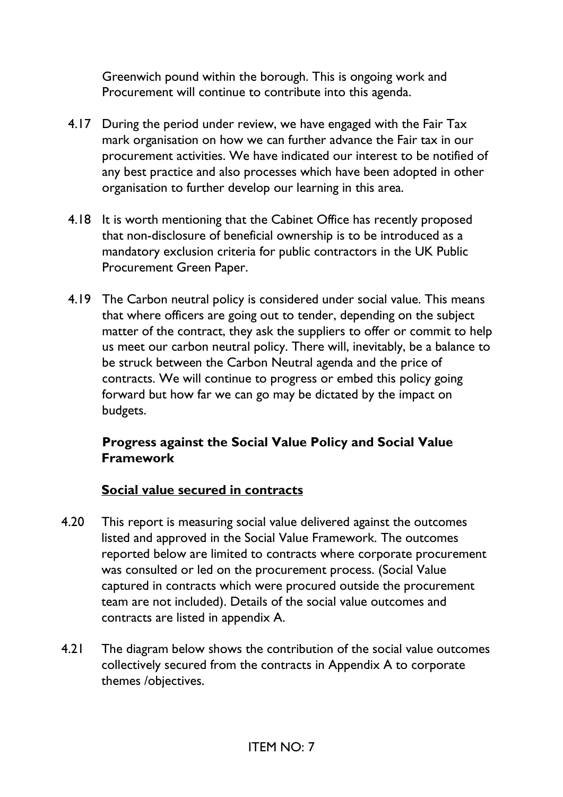Greenwich pound within the borough. This is ongoing work and Procurement will continue to contribute into this agenda.

- 4.17 During the period under review, we have engaged with the Fair Tax mark organisation on how we can further advance the Fair tax in our procurement activities. We have indicated our interest to be notified of any best practice and also processes which have been adopted in other organisation to further develop our learning in this area.
- 4.18 It is worth mentioning that the Cabinet Office has recently proposed that non-disclosure of beneficial ownership is to be introduced as a mandatory exclusion criteria for public contractors in the UK Public Procurement Green Paper.
- 4.19 The Carbon neutral policy is considered under social value. This means that where officers are going out to tender, depending on the subject matter of the contract, they ask the suppliers to offer or commit to help us meet our carbon neutral policy. There will, inevitably, be a balance to be struck between the Carbon Neutral agenda and the price of contracts. We will continue to progress or embed this policy going forward but how far we can go may be dictated by the impact on budgets.

## **Progress against the Social Value Policy and Social Value Framework**

#### **Social value secured in contracts**

- 4.20 This report is measuring social value delivered against the outcomes listed and approved in the Social Value Framework. The outcomes reported below are limited to contracts where corporate procurement was consulted or led on the procurement process. (Social Value captured in contracts which were procured outside the procurement team are not included). Details of the social value outcomes and contracts are listed in appendix A.
- 4.21 The diagram below shows the contribution of the social value outcomes collectively secured from the contracts in Appendix A to corporate themes /objectives.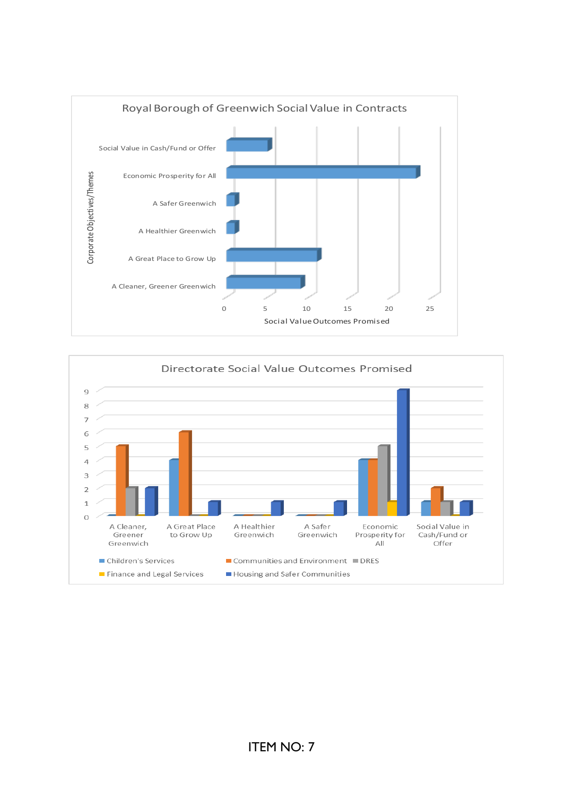

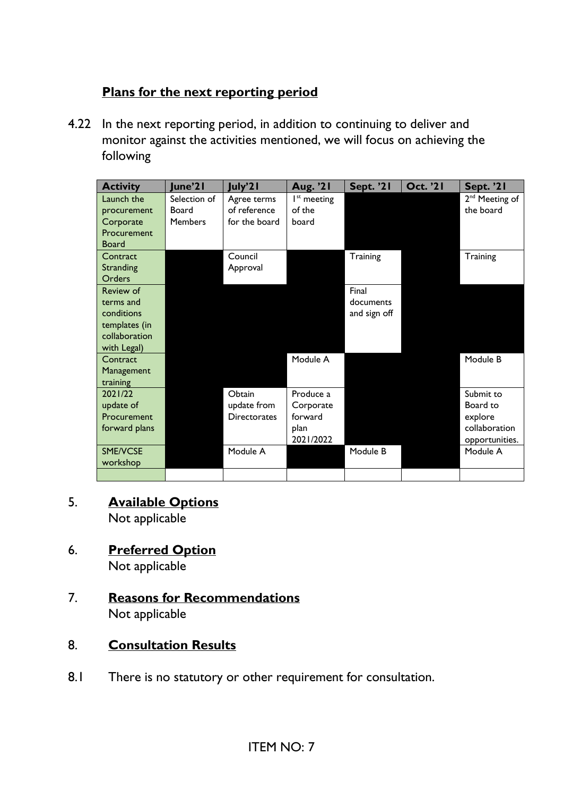## **Plans for the next reporting period**

4.22 In the next reporting period, in addition to continuing to deliver and monitor against the activities mentioned, we will focus on achieving the following

| <b>Activity</b>    | June'21        | July'21             | Aug. '21      | <b>Sept. '21</b> | <b>Oct. '21</b> | Sept. '21                  |
|--------------------|----------------|---------------------|---------------|------------------|-----------------|----------------------------|
| Launch the         | Selection of   | Agree terms         | $Ist$ meeting |                  |                 | 2 <sup>nd</sup> Meeting of |
| procurement        | Board          | of reference        | of the        |                  |                 | the board                  |
| Corporate          | <b>Members</b> | for the board       | board         |                  |                 |                            |
| <b>Procurement</b> |                |                     |               |                  |                 |                            |
| Board              |                |                     |               |                  |                 |                            |
| Contract           |                | Council             |               | Training         |                 | Training                   |
| Stranding          |                | Approval            |               |                  |                 |                            |
| Orders             |                |                     |               |                  |                 |                            |
| <b>Review of</b>   |                |                     |               | Final            |                 |                            |
| terms and          |                |                     |               | documents        |                 |                            |
| conditions         |                |                     |               | and sign off     |                 |                            |
| templates (in      |                |                     |               |                  |                 |                            |
| collaboration      |                |                     |               |                  |                 |                            |
| with Legal)        |                |                     |               |                  |                 |                            |
| Contract           |                |                     | Module A      |                  |                 | Module B                   |
| Management         |                |                     |               |                  |                 |                            |
| training           |                |                     |               |                  |                 |                            |
| 2021/22            |                | Obtain              | Produce a     |                  |                 | Submit to                  |
| update of          |                | update from         | Corporate     |                  |                 | Board to                   |
| Procurement        |                | <b>Directorates</b> | forward       |                  |                 | explore                    |
| forward plans      |                |                     | plan          |                  |                 | collaboration              |
|                    |                |                     | 2021/2022     |                  |                 | opportunities.             |
| SME/VCSE           |                | Module A            |               | Module B         |                 | Module A                   |
| workshop           |                |                     |               |                  |                 |                            |
|                    |                |                     |               |                  |                 |                            |

# 5. **Available Options**

Not applicable

6. **Preferred Option** 

Not applicable

7. **Reasons for Recommendations** Not applicable

## 8. **Consultation Results**

8.1 There is no statutory or other requirement for consultation.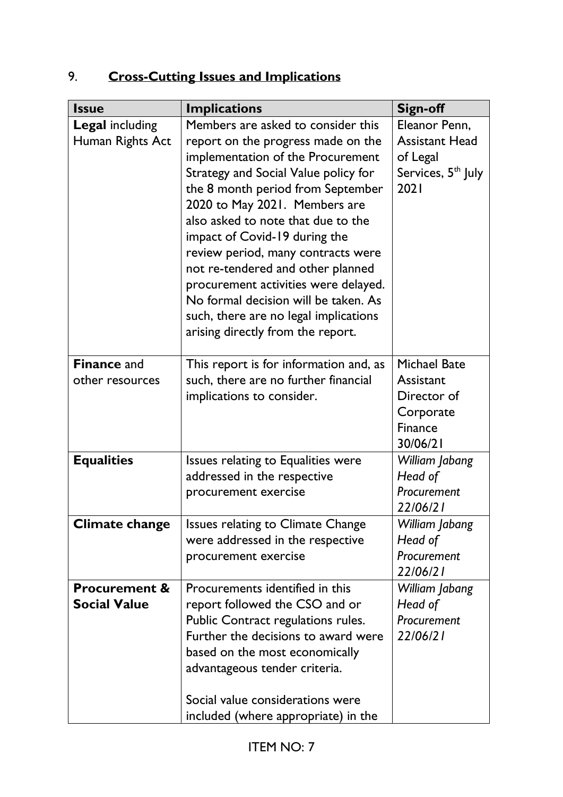# 9. **Cross-Cutting Issues and Implications**

| <b>Issue</b>                                    | <b>Implications</b>                                                                                                                                                                                                                                                                                                                                                                                                                                                                                                                         | <b>Sign-off</b>                                                                              |
|-------------------------------------------------|---------------------------------------------------------------------------------------------------------------------------------------------------------------------------------------------------------------------------------------------------------------------------------------------------------------------------------------------------------------------------------------------------------------------------------------------------------------------------------------------------------------------------------------------|----------------------------------------------------------------------------------------------|
| <b>Legal including</b><br>Human Rights Act      | Members are asked to consider this<br>report on the progress made on the<br>implementation of the Procurement<br>Strategy and Social Value policy for<br>the 8 month period from September<br>2020 to May 2021. Members are<br>also asked to note that due to the<br>impact of Covid-19 during the<br>review period, many contracts were<br>not re-tendered and other planned<br>procurement activities were delayed.<br>No formal decision will be taken. As<br>such, there are no legal implications<br>arising directly from the report. | Eleanor Penn,<br><b>Assistant Head</b><br>of Legal<br>Services, 5 <sup>th</sup> July<br>2021 |
| <b>Finance and</b><br>other resources           | This report is for information and, as<br>such, there are no further financial<br>implications to consider.                                                                                                                                                                                                                                                                                                                                                                                                                                 | <b>Michael Bate</b><br>Assistant<br>Director of<br>Corporate<br>Finance<br>30/06/21          |
| <b>Equalities</b><br><b>Climate change</b>      | Issues relating to Equalities were<br>addressed in the respective<br>procurement exercise<br>Issues relating to Climate Change<br>were addressed in the respective                                                                                                                                                                                                                                                                                                                                                                          | William Jabang<br>Head of<br>Procurement<br>22/06/21<br>William Jabang<br>Head of            |
|                                                 | procurement exercise                                                                                                                                                                                                                                                                                                                                                                                                                                                                                                                        | Procurement<br>22/06/21                                                                      |
| <b>Procurement &amp;</b><br><b>Social Value</b> | Procurements identified in this<br>report followed the CSO and or<br>Public Contract regulations rules.<br>Further the decisions to award were<br>based on the most economically<br>advantageous tender criteria.<br>Social value considerations were<br>included (where appropriate) in the                                                                                                                                                                                                                                                | William Jabang<br>Head of<br>Procurement<br>22/06/21                                         |